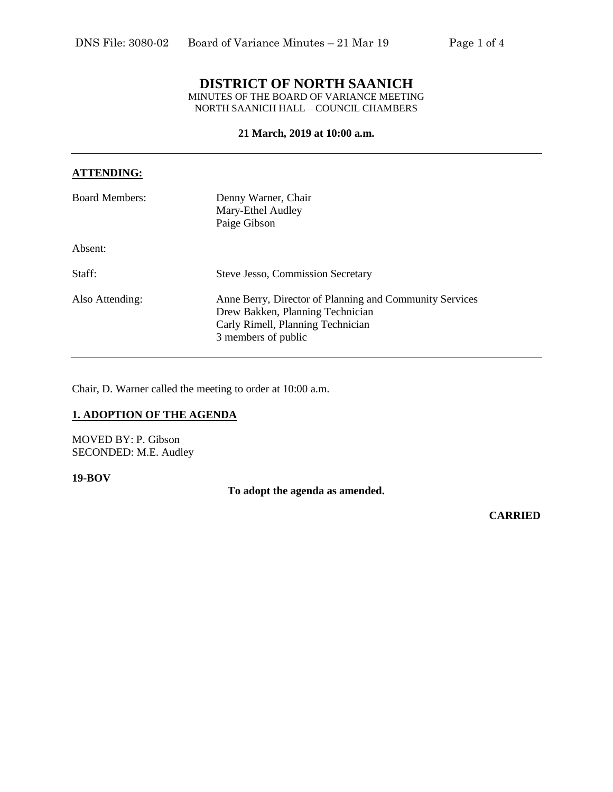# **DISTRICT OF NORTH SAANICH**

MINUTES OF THE BOARD OF VARIANCE MEETING NORTH SAANICH HALL – COUNCIL CHAMBERS

## **21 March, 2019 at 10:00 a.m.**

# **ATTENDING:**

| <b>Board Members:</b> | Denny Warner, Chair<br>Mary-Ethel Audley<br>Paige Gibson                                                                                                |
|-----------------------|---------------------------------------------------------------------------------------------------------------------------------------------------------|
| Absent:               |                                                                                                                                                         |
| Staff:                | <b>Steve Jesso, Commission Secretary</b>                                                                                                                |
| Also Attending:       | Anne Berry, Director of Planning and Community Services<br>Drew Bakken, Planning Technician<br>Carly Rimell, Planning Technician<br>3 members of public |

Chair, D. Warner called the meeting to order at 10:00 a.m.

# **1. ADOPTION OF THE AGENDA**

MOVED BY: P. Gibson SECONDED: M.E. Audley

#### **19-BOV**

**To adopt the agenda as amended.**

**CARRIED**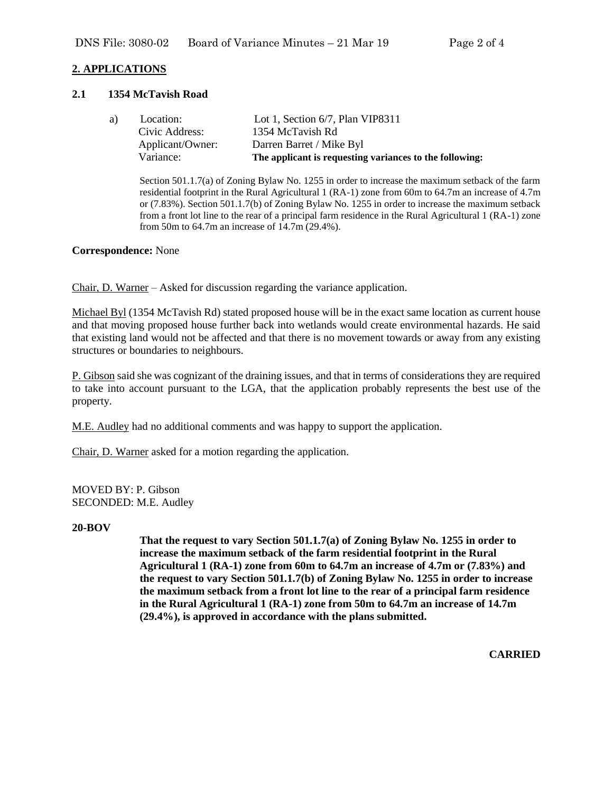# **2. APPLICATIONS**

#### **2.1 1354 McTavish Road**

| a) | Location:        | Lot 1, Section $6/7$ , Plan VIP8311                     |
|----|------------------|---------------------------------------------------------|
|    | Civic Address:   | 1354 McTavish Rd                                        |
|    | Applicant/Owner: | Darren Barret / Mike Byl                                |
|    | Variance:        | The applicant is requesting variances to the following: |

Section 501.1.7(a) of Zoning Bylaw No. 1255 in order to increase the maximum setback of the farm residential footprint in the Rural Agricultural 1 (RA-1) zone from 60m to 64.7m an increase of 4.7m or (7.83%). Section 501.1.7(b) of Zoning Bylaw No. 1255 in order to increase the maximum setback from a front lot line to the rear of a principal farm residence in the Rural Agricultural 1 (RA-1) zone from 50m to 64.7m an increase of 14.7m (29.4%).

#### **Correspondence:** None

Chair, D. Warner – Asked for discussion regarding the variance application.

Michael Byl (1354 McTavish Rd) stated proposed house will be in the exact same location as current house and that moving proposed house further back into wetlands would create environmental hazards. He said that existing land would not be affected and that there is no movement towards or away from any existing structures or boundaries to neighbours.

P. Gibson said she was cognizant of the draining issues, and that in terms of considerations they are required to take into account pursuant to the LGA, that the application probably represents the best use of the property.

M.E. Audley had no additional comments and was happy to support the application.

Chair, D. Warner asked for a motion regarding the application.

MOVED BY: P. Gibson SECONDED: M.E. Audley

#### **20-BOV**

**That the request to vary Section 501.1.7(a) of Zoning Bylaw No. 1255 in order to increase the maximum setback of the farm residential footprint in the Rural Agricultural 1 (RA-1) zone from 60m to 64.7m an increase of 4.7m or (7.83%) and the request to vary Section 501.1.7(b) of Zoning Bylaw No. 1255 in order to increase the maximum setback from a front lot line to the rear of a principal farm residence in the Rural Agricultural 1 (RA-1) zone from 50m to 64.7m an increase of 14.7m (29.4%), is approved in accordance with the plans submitted.**

**CARRIED**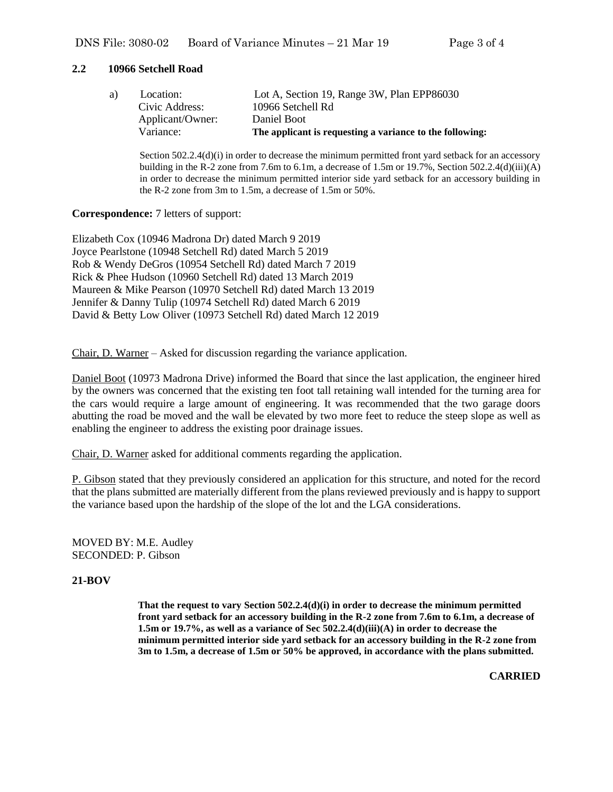#### **2.2 10966 Setchell Road**

|    | Variance:        | The applicant is requesting a variance to the following: |
|----|------------------|----------------------------------------------------------|
|    | Applicant/Owner: | Daniel Boot                                              |
|    | Civic Address:   | 10966 Setchell Rd                                        |
| a) | Location:        | Lot A, Section 19, Range 3W, Plan EPP86030               |
|    |                  |                                                          |

Section 502.2.4(d)(i) in order to decrease the minimum permitted front yard setback for an accessory building in the R-2 zone from 7.6m to 6.1m, a decrease of 1.5m or 19.7%, Section 502.2.4(d)(iii)(A) in order to decrease the minimum permitted interior side yard setback for an accessory building in the R-2 zone from 3m to 1.5m, a decrease of 1.5m or 50%.

#### **Correspondence:** 7 letters of support:

Elizabeth Cox (10946 Madrona Dr) dated March 9 2019 Joyce Pearlstone (10948 Setchell Rd) dated March 5 2019 Rob & Wendy DeGros (10954 Setchell Rd) dated March 7 2019 Rick & Phee Hudson (10960 Setchell Rd) dated 13 March 2019 Maureen & Mike Pearson (10970 Setchell Rd) dated March 13 2019 Jennifer & Danny Tulip (10974 Setchell Rd) dated March 6 2019 David & Betty Low Oliver (10973 Setchell Rd) dated March 12 2019

Chair, D. Warner – Asked for discussion regarding the variance application.

Daniel Boot (10973 Madrona Drive) informed the Board that since the last application, the engineer hired by the owners was concerned that the existing ten foot tall retaining wall intended for the turning area for the cars would require a large amount of engineering. It was recommended that the two garage doors abutting the road be moved and the wall be elevated by two more feet to reduce the steep slope as well as enabling the engineer to address the existing poor drainage issues.

Chair, D. Warner asked for additional comments regarding the application.

P. Gibson stated that they previously considered an application for this structure, and noted for the record that the plans submitted are materially different from the plans reviewed previously and is happy to support the variance based upon the hardship of the slope of the lot and the LGA considerations.

MOVED BY: M.E. Audley SECONDED: P. Gibson

# **21-BOV**

**That the request to vary Section 502.2.4(d)(i) in order to decrease the minimum permitted front yard setback for an accessory building in the R-2 zone from 7.6m to 6.1m, a decrease of 1.5m or 19.7%, as well as a variance of Sec 502.2.4(d)(iii)(A) in order to decrease the minimum permitted interior side yard setback for an accessory building in the R-2 zone from 3m to 1.5m, a decrease of 1.5m or 50% be approved, in accordance with the plans submitted.**

 **CARRIED**